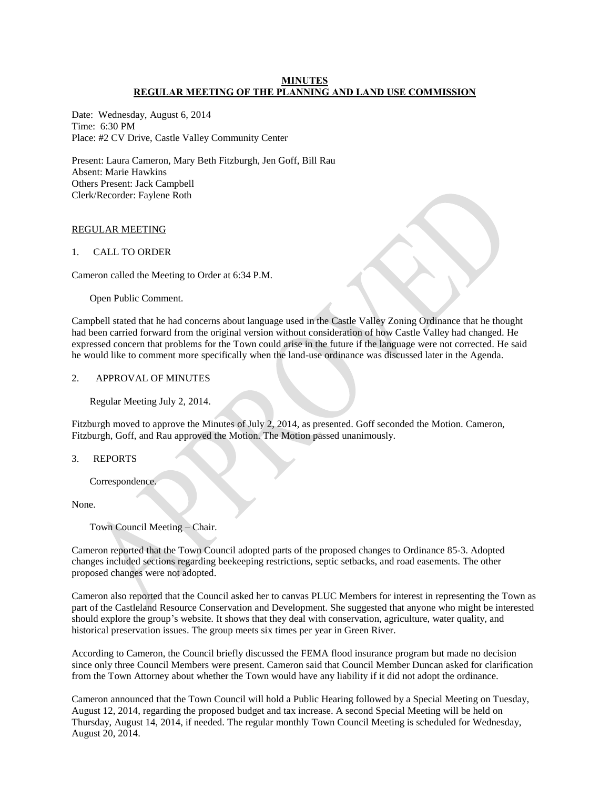# **MINUTES REGULAR MEETING OF THE PLANNING AND LAND USE COMMISSION**

Date: Wednesday, August 6, 2014 Time: 6:30 PM Place: #2 CV Drive, Castle Valley Community Center

Present: Laura Cameron, Mary Beth Fitzburgh, Jen Goff, Bill Rau Absent: Marie Hawkins Others Present: Jack Campbell Clerk/Recorder: Faylene Roth

# REGULAR MEETING

# 1. CALL TO ORDER

Cameron called the Meeting to Order at 6:34 P.M.

Open Public Comment.

Campbell stated that he had concerns about language used in the Castle Valley Zoning Ordinance that he thought had been carried forward from the original version without consideration of how Castle Valley had changed. He expressed concern that problems for the Town could arise in the future if the language were not corrected. He said he would like to comment more specifically when the land-use ordinance was discussed later in the Agenda.

# 2. APPROVAL OF MINUTES

Regular Meeting July 2, 2014.

Fitzburgh moved to approve the Minutes of July 2, 2014, as presented. Goff seconded the Motion. Cameron, Fitzburgh, Goff, and Rau approved the Motion. The Motion passed unanimously.

3. REPORTS

Correspondence.

None.

Town Council Meeting – Chair.

Cameron reported that the Town Council adopted parts of the proposed changes to Ordinance 85-3. Adopted changes included sections regarding beekeeping restrictions, septic setbacks, and road easements. The other proposed changes were not adopted.

Cameron also reported that the Council asked her to canvas PLUC Members for interest in representing the Town as part of the Castleland Resource Conservation and Development. She suggested that anyone who might be interested should explore the group's website. It shows that they deal with conservation, agriculture, water quality, and historical preservation issues. The group meets six times per year in Green River.

According to Cameron, the Council briefly discussed the FEMA flood insurance program but made no decision since only three Council Members were present. Cameron said that Council Member Duncan asked for clarification from the Town Attorney about whether the Town would have any liability if it did not adopt the ordinance.

Cameron announced that the Town Council will hold a Public Hearing followed by a Special Meeting on Tuesday, August 12, 2014, regarding the proposed budget and tax increase. A second Special Meeting will be held on Thursday, August 14, 2014, if needed. The regular monthly Town Council Meeting is scheduled for Wednesday, August 20, 2014.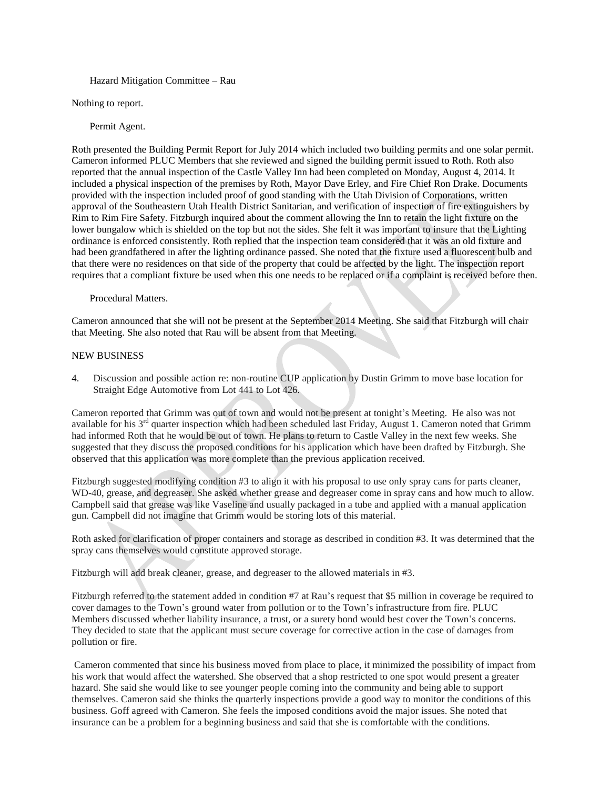#### Hazard Mitigation Committee – Rau

Nothing to report.

Permit Agent.

Roth presented the Building Permit Report for July 2014 which included two building permits and one solar permit. Cameron informed PLUC Members that she reviewed and signed the building permit issued to Roth. Roth also reported that the annual inspection of the Castle Valley Inn had been completed on Monday, August 4, 2014. It included a physical inspection of the premises by Roth, Mayor Dave Erley, and Fire Chief Ron Drake. Documents provided with the inspection included proof of good standing with the Utah Division of Corporations, written approval of the Southeastern Utah Health District Sanitarian, and verification of inspection of fire extinguishers by Rim to Rim Fire Safety. Fitzburgh inquired about the comment allowing the Inn to retain the light fixture on the lower bungalow which is shielded on the top but not the sides. She felt it was important to insure that the Lighting ordinance is enforced consistently. Roth replied that the inspection team considered that it was an old fixture and had been grandfathered in after the lighting ordinance passed. She noted that the fixture used a fluorescent bulb and that there were no residences on that side of the property that could be affected by the light. The inspection report requires that a compliant fixture be used when this one needs to be replaced or if a complaint is received before then.

Procedural Matters.

Cameron announced that she will not be present at the September 2014 Meeting. She said that Fitzburgh will chair that Meeting. She also noted that Rau will be absent from that Meeting.

#### NEW BUSINESS

4. Discussion and possible action re: non-routine CUP application by Dustin Grimm to move base location for Straight Edge Automotive from Lot 441 to Lot 426.

Cameron reported that Grimm was out of town and would not be present at tonight's Meeting. He also was not available for his 3<sup>rd</sup> quarter inspection which had been scheduled last Friday, August 1. Cameron noted that Grimm had informed Roth that he would be out of town. He plans to return to Castle Valley in the next few weeks. She suggested that they discuss the proposed conditions for his application which have been drafted by Fitzburgh. She observed that this application was more complete than the previous application received.

Fitzburgh suggested modifying condition #3 to align it with his proposal to use only spray cans for parts cleaner, WD-40, grease, and degreaser. She asked whether grease and degreaser come in spray cans and how much to allow. Campbell said that grease was like Vaseline and usually packaged in a tube and applied with a manual application gun. Campbell did not imagine that Grimm would be storing lots of this material.

Roth asked for clarification of proper containers and storage as described in condition #3. It was determined that the spray cans themselves would constitute approved storage.

Fitzburgh will add break cleaner, grease, and degreaser to the allowed materials in #3.

Fitzburgh referred to the statement added in condition #7 at Rau's request that \$5 million in coverage be required to cover damages to the Town's ground water from pollution or to the Town's infrastructure from fire. PLUC Members discussed whether liability insurance, a trust, or a surety bond would best cover the Town's concerns. They decided to state that the applicant must secure coverage for corrective action in the case of damages from pollution or fire.

Cameron commented that since his business moved from place to place, it minimized the possibility of impact from his work that would affect the watershed. She observed that a shop restricted to one spot would present a greater hazard. She said she would like to see younger people coming into the community and being able to support themselves. Cameron said she thinks the quarterly inspections provide a good way to monitor the conditions of this business. Goff agreed with Cameron. She feels the imposed conditions avoid the major issues. She noted that insurance can be a problem for a beginning business and said that she is comfortable with the conditions.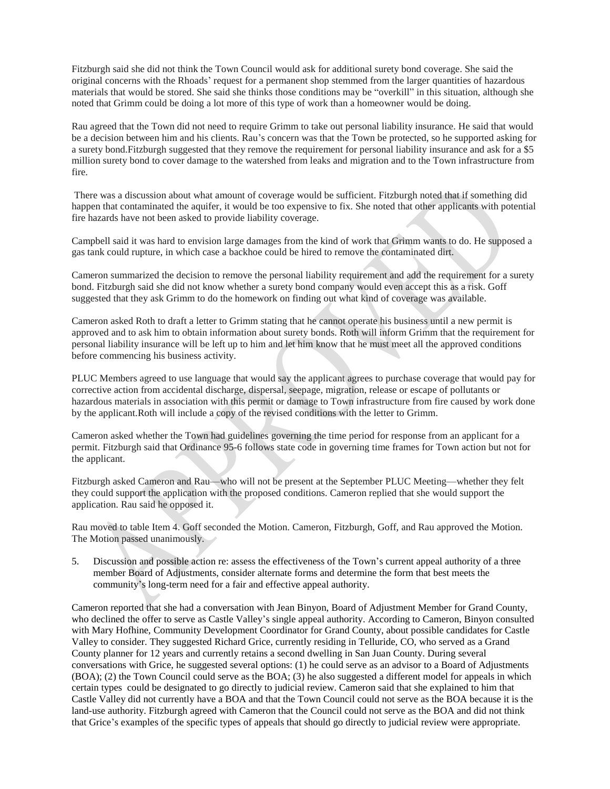Fitzburgh said she did not think the Town Council would ask for additional surety bond coverage. She said the original concerns with the Rhoads' request for a permanent shop stemmed from the larger quantities of hazardous materials that would be stored. She said she thinks those conditions may be "overkill" in this situation, although she noted that Grimm could be doing a lot more of this type of work than a homeowner would be doing.

Rau agreed that the Town did not need to require Grimm to take out personal liability insurance. He said that would be a decision between him and his clients. Rau's concern was that the Town be protected, so he supported asking for a surety bond.Fitzburgh suggested that they remove the requirement for personal liability insurance and ask for a \$5 million surety bond to cover damage to the watershed from leaks and migration and to the Town infrastructure from fire.

There was a discussion about what amount of coverage would be sufficient. Fitzburgh noted that if something did happen that contaminated the aquifer, it would be too expensive to fix. She noted that other applicants with potential fire hazards have not been asked to provide liability coverage.

Campbell said it was hard to envision large damages from the kind of work that Grimm wants to do. He supposed a gas tank could rupture, in which case a backhoe could be hired to remove the contaminated dirt.

Cameron summarized the decision to remove the personal liability requirement and add the requirement for a surety bond. Fitzburgh said she did not know whether a surety bond company would even accept this as a risk. Goff suggested that they ask Grimm to do the homework on finding out what kind of coverage was available.

Cameron asked Roth to draft a letter to Grimm stating that he cannot operate his business until a new permit is approved and to ask him to obtain information about surety bonds. Roth will inform Grimm that the requirement for personal liability insurance will be left up to him and let him know that he must meet all the approved conditions before commencing his business activity.

PLUC Members agreed to use language that would say the applicant agrees to purchase coverage that would pay for corrective action from accidental discharge, dispersal, seepage, migration, release or escape of pollutants or hazardous materials in association with this permit or damage to Town infrastructure from fire caused by work done by the applicant.Roth will include a copy of the revised conditions with the letter to Grimm.

Cameron asked whether the Town had guidelines governing the time period for response from an applicant for a permit. Fitzburgh said that Ordinance 95-6 follows state code in governing time frames for Town action but not for the applicant.

Fitzburgh asked Cameron and Rau—who will not be present at the September PLUC Meeting—whether they felt they could support the application with the proposed conditions. Cameron replied that she would support the application. Rau said he opposed it.

Rau moved to table Item 4. Goff seconded the Motion. Cameron, Fitzburgh, Goff, and Rau approved the Motion. The Motion passed unanimously.

5. Discussion and possible action re: assess the effectiveness of the Town's current appeal authority of a three member Board of Adjustments, consider alternate forms and determine the form that best meets the community's long-term need for a fair and effective appeal authority.

Cameron reported that she had a conversation with Jean Binyon, Board of Adjustment Member for Grand County, who declined the offer to serve as Castle Valley's single appeal authority. According to Cameron, Binyon consulted with Mary Hofhine, Community Development Coordinator for Grand County, about possible candidates for Castle Valley to consider. They suggested Richard Grice, currently residing in Telluride, CO, who served as a Grand County planner for 12 years and currently retains a second dwelling in San Juan County. During several conversations with Grice, he suggested several options: (1) he could serve as an advisor to a Board of Adjustments (BOA); (2) the Town Council could serve as the BOA; (3) he also suggested a different model for appeals in which certain types could be designated to go directly to judicial review. Cameron said that she explained to him that Castle Valley did not currently have a BOA and that the Town Council could not serve as the BOA because it is the land-use authority. Fitzburgh agreed with Cameron that the Council could not serve as the BOA and did not think that Grice's examples of the specific types of appeals that should go directly to judicial review were appropriate.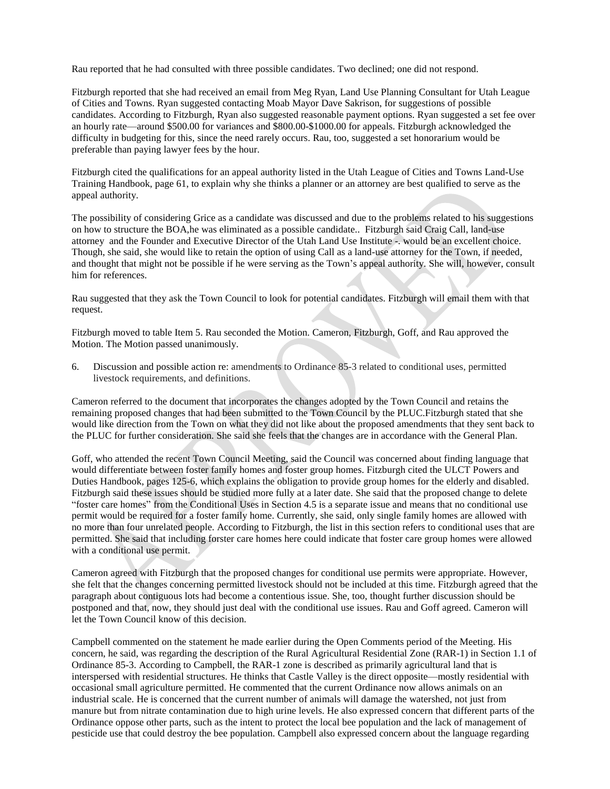Rau reported that he had consulted with three possible candidates. Two declined; one did not respond.

Fitzburgh reported that she had received an email from Meg Ryan, Land Use Planning Consultant for Utah League of Cities and Towns. Ryan suggested contacting Moab Mayor Dave Sakrison, for suggestions of possible candidates. According to Fitzburgh, Ryan also suggested reasonable payment options. Ryan suggested a set fee over an hourly rate—around \$500.00 for variances and \$800.00-\$1000.00 for appeals. Fitzburgh acknowledged the difficulty in budgeting for this, since the need rarely occurs. Rau, too, suggested a set honorarium would be preferable than paying lawyer fees by the hour.

Fitzburgh cited the qualifications for an appeal authority listed in the Utah League of Cities and Towns Land-Use Training Handbook, page 61, to explain why she thinks a planner or an attorney are best qualified to serve as the appeal authority.

The possibility of considering Grice as a candidate was discussed and due to the problems related to his suggestions on how to structure the BOA,he was eliminated as a possible candidate.. Fitzburgh said Craig Call, land-use attorney and the Founder and Executive Director of the Utah Land Use Institute -. would be an excellent choice. Though, she said, she would like to retain the option of using Call as a land-use attorney for the Town, if needed, and thought that might not be possible if he were serving as the Town's appeal authority. She will, however, consult him for references.

Rau suggested that they ask the Town Council to look for potential candidates. Fitzburgh will email them with that request.

Fitzburgh moved to table Item 5. Rau seconded the Motion. Cameron, Fitzburgh, Goff, and Rau approved the Motion. The Motion passed unanimously.

6. Discussion and possible action re: amendments to Ordinance 85-3 related to conditional uses, permitted livestock requirements, and definitions.

Cameron referred to the document that incorporates the changes adopted by the Town Council and retains the remaining proposed changes that had been submitted to the Town Council by the PLUC.Fitzburgh stated that she would like direction from the Town on what they did not like about the proposed amendments that they sent back to the PLUC for further consideration. She said she feels that the changes are in accordance with the General Plan.

Goff, who attended the recent Town Council Meeting, said the Council was concerned about finding language that would differentiate between foster family homes and foster group homes. Fitzburgh cited the ULCT Powers and Duties Handbook, pages 125-6, which explains the obligation to provide group homes for the elderly and disabled. Fitzburgh said these issues should be studied more fully at a later date. She said that the proposed change to delete "foster care homes" from the Conditional Uses in Section 4.5 is a separate issue and means that no conditional use permit would be required for a foster family home. Currently, she said, only single family homes are allowed with no more than four unrelated people. According to Fitzburgh, the list in this section refers to conditional uses that are permitted. She said that including forster care homes here could indicate that foster care group homes were allowed with a conditional use permit.

Cameron agreed with Fitzburgh that the proposed changes for conditional use permits were appropriate. However, she felt that the changes concerning permitted livestock should not be included at this time. Fitzburgh agreed that the paragraph about contiguous lots had become a contentious issue. She, too, thought further discussion should be postponed and that, now, they should just deal with the conditional use issues. Rau and Goff agreed. Cameron will let the Town Council know of this decision.

Campbell commented on the statement he made earlier during the Open Comments period of the Meeting. His concern, he said, was regarding the description of the Rural Agricultural Residential Zone (RAR-1) in Section 1.1 of Ordinance 85-3. According to Campbell, the RAR-1 zone is described as primarily agricultural land that is interspersed with residential structures. He thinks that Castle Valley is the direct opposite—mostly residential with occasional small agriculture permitted. He commented that the current Ordinance now allows animals on an industrial scale. He is concerned that the current number of animals will damage the watershed, not just from manure but from nitrate contamination due to high urine levels. He also expressed concern that different parts of the Ordinance oppose other parts, such as the intent to protect the local bee population and the lack of management of pesticide use that could destroy the bee population. Campbell also expressed concern about the language regarding